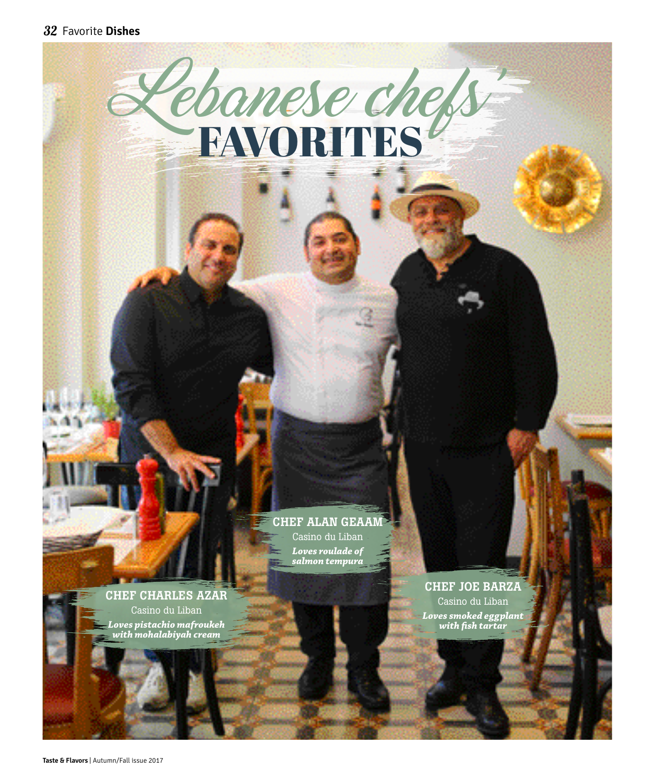

# CHEF ALAN GEAAM

Casino du Liban *Loves roulade of salmon tempura*

CHEF CHARLES AZAR Casino du Liban *Loves pistachio mafroukeh* 

*with mohalabiyah cream*

CHEF JOE BARZA

Casino du Liban *Loves smoked eggplant with fish tartar*